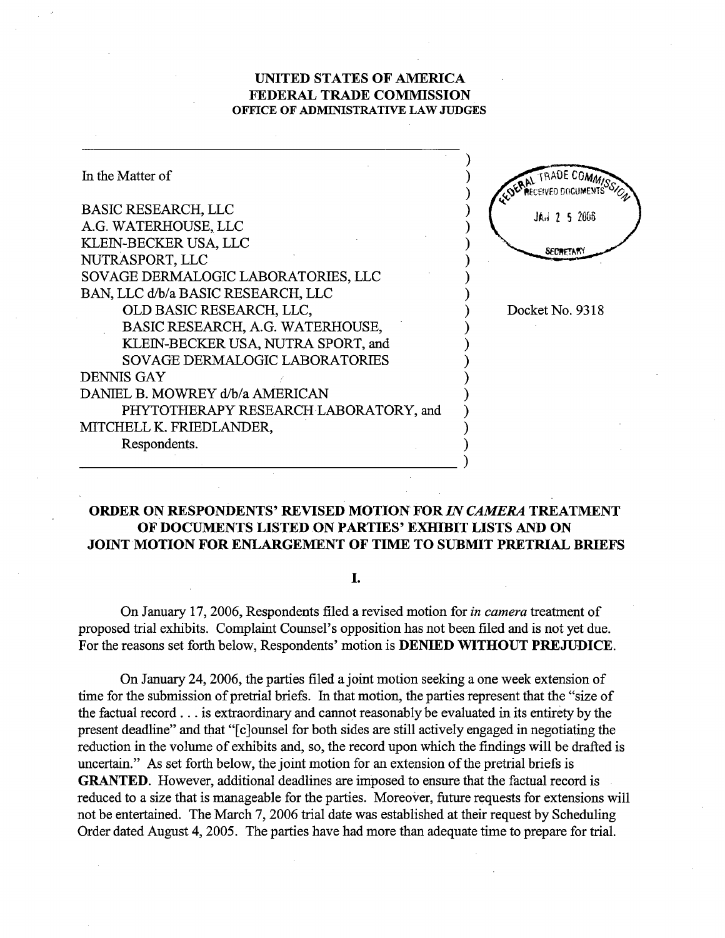## UNITED STATES OF AMRICA FEDERAL TRADE COMMISSION OFFICE OF ADMINISTRATIVE LAW JUDGES



## ORDER ON RESPONDENTS' REVISED MOTION FOR IN CAMERA TREATMENT OF DOCUMENTS LISTED ON PARTIES' EXHIBIT LISTS AND ON JOINT MOTION FOR ENLARGEMENT OF TIME TO SUBMIT PRETRIAL BRIFS

I.

On January 17, 2006, Respondents filed a revised motion for *in camera* treatment of proposed tral exhbits. Complaint Counsel's opposition has not been filed and is not yet due. For the reasons set forth below, Respondents' motion is **DENIED WITHOUT PREJUDICE**.

On January 24, 2006, the parties filed a joint motion seeking a one week extension of time for the submission of pretrial briefs. In that motion, the parties represent that the "size of the factual record... is extraordinary and cannot reasonably be evaluated in its entirety by the present deadline" and that "[c]ounsel for both sides are still actively engaged in negotiating the reduction in the volume of exhibits and, so, the record upon which the findings will be drafted is uncertain." As set forth below, the joint motion for an extension of the pretrial briefs is GRATED. However, additional deadlines are imposed to ensure that the factual record is reduced to a size that is manageable for the paries. Moreover, futue requests for extensions will not be entertained. The March 7, 2006 trial date was established at their request by Scheduling Order dated August 4, 2005. The parties have had more than adequate time to prepare for trial.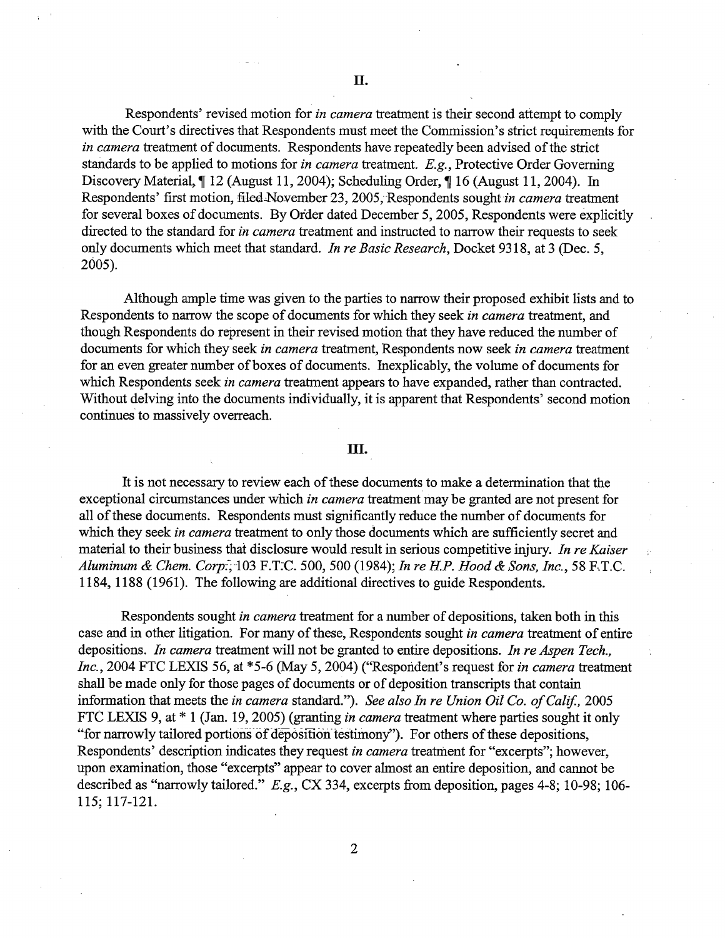Respondents' revised motion for in camera treatment is their second attempt to comply with the Court's directives that Respondents must meet the Commission's strict requirements for in camera treatment of documents. Respondents have repeatedly been advised of the strict standards to be applied to motions for *in camera* treatment.  $E.g.,$  Protective Order Governing Discovery Material,  $\parallel$  12 (August 11, 2004); Scheduling Order,  $\parallel$  16 (August 11, 2004). In Respondents' first motion, filed-November 23, 2005, Respondents sought in camera treatment for several boxes of documents. By Order dated December 5, 2005, Respondents were explicitly directed to the standard for in camera treatment and instructed to narrow their requests to seek only documents which meet that standard. In re Basic Research, Docket 9318, at 3 (Dec. 5, 2005).

Although ample time was given to the parties to narrow their proposed exhibit lists and to Respondents to narrow the scope of documents for which they seek in camera treatment, and though Respondents do represent in their revised motion that they have reduced the number of documents for which they seek in camera treatment, Respondents now seek in camera treatment for an even greater number of boxes of documents. Inexplicably, the volume of documents for which Respondents seek in camera treatment appears to have expanded, rather than contracted. Without delving into the documents individually, it is apparent that Respondents' second motion continues to massively overreach.

## III.

It is not necessary to review each of these documents to make a determination that the exceptional circumstances under which *in camera* treatment may be granted are not present for all of these documents. Respondents must significantly reduce the number of documents for which they seek in camera treatment to only those documents which are sufficiently secret and material to their business that disclosure would result in serious competitive injury. In re Kaiser Aluminum & Chem. Corp.; 103 F.T.C. 500, 500 (1984); In re H.P. Hood & Sons, Inc., 58 F.T.C. 1184, 1188 (1961). The followig are additional directives to guide Respondents.

Respondents sought in camera treatment for a number of depositions, taken both in this case and in other litigation. For many of these, Respondents sought in camera treatment of entire depositions. In camera treatment will not be granted to entire depositions. In re Aspen Tech., Inc., 2004 FTC LEXIS 56, at \*5-6 (May 5, 2004) ("Respondent's request for in camera treatment shall be made only for those pages of documents or of deposition transcripts that contain information that meets the in camera standard."). See also In re Union Oil Co. of Calif., 2005 FTC LEXIS 9, at \* 1 (Jan. 19, 2005) (granting in camera treatment where parties sought it only "for narrowly tailored portions of deposition testimony"). For others of these depositions, Respondents' description indicates they request *in camera* treatment for "excerpts"; however, upon examination, those "excerpts" appear to cover almost an entire deposition, and canot be described as "narowly tailored." E.g., CX 334, excerpts from deposition, pages 4-8; 10-98; 106- 115; 117-121.

2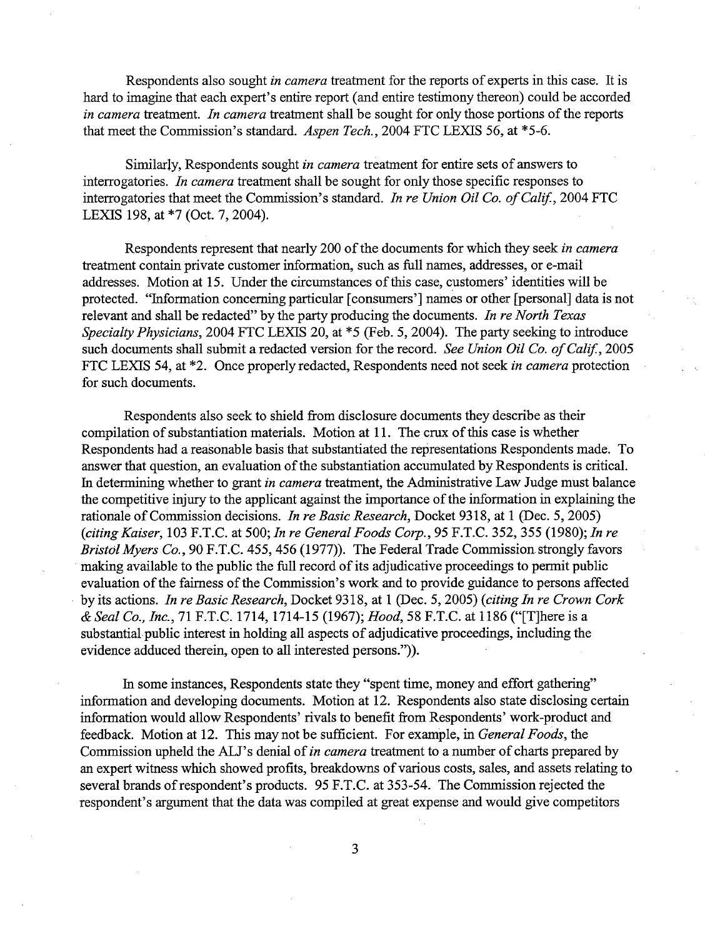Respondents also sought in camera treatment for the reports of experts in this case. It is hard to imagine that each expert's entire report (and entire testimony thereon) could be accorded in camera treatment. In camera treatment shall be sought for only those portions of the reports that meet the Commission's standard. Aspen Tech., 2004 FTC LEXIS 56, at \*5-6.

Similarly, Respondents sought in camera treatment for entire sets of answers to interrogatories. In camera treatment shall be sought for only those specific responses to interrogatories that meet the Commission's standard. In re Union Oil Co. of Calif., 2004 FTC LEXIS 198, at \*7 (Oct. 7, 2004).

Respondents represent that nearly 200 of the documents for which they seek in camera treatment contain private customer information, such as full names, addresses, or e-mail addresses. Motion at 15. Under the circumstances of ths case, customers' identities will be protected. "Information concerning particular [consumers'] names or other [personal] data is not relevant and shall be redacted" by the party producing the documents. In re North Texas Specialty Physicians, 2004 FTC LEXIS 20, at \*5 (Feb. 5, 2004). The party seeking to introduce such documents shall submit a redacted version for the record. See Union Oil Co. of Calif., 2005 FTC LEXIS 54, at \*2. Once properly redacted, Respondents need not seek in camera protection for such documents.

Respondents also seek to shield from disclosure documents they describe as their compilation of substantiation materials. Motion at 11. The crux of this case is whether Respondents had a reasonable basis that substantiated the representations Respondents made. To answer that question, an evaluation of the substantiation accumulated by Respondents is critical. In determining whether to grant in camera treatment, the Administrative Law Judge must balance the competitive injury to the applicant against the importance of the information in explaining the rationale of Commission decisions. In re Basic Research, Docket 9318, at 1 (Dec. 5,2005) (citing Kaiser, 103 F.T.C. at 500; In re General Foods Corp., 95 F.T.C. 352, 355 (1980); In re Bristol Myers Co., 90 F.T.C. 455, 456 (1977)). The Federal Trade Commission strongly favors making available to the public the full record of its adjudicative proceedings to permit public evaluation of the fairness of the Commission's work and to provide guidance to persons affected by its actions. In re Basic Research, Docket 9318, at 1 (Dec. 5, 2005) (citing In re Crown Cork & Seal Co., Inc., 71 P.T.C. 1714, 1714-15 (1967); Hood, 58 F.T.C. at 1186 ("(T)here is a substantial public interest in holding all aspects of adjudicative proceedings, including the evidence adduced therein, open to all interested persons.")).

In some instances, Respondents state they "spent time, money and effort gathering" information and developing documents. Motion at 12. Respondents also state disclosing certain information would allow Respondents' rivals to benefit from Respondents' work-product and feedback. Motion at 12. This may not be sufficient. For example, in General Foods, the Commission upheld the ALJ's denial of in camera treatment to a number of charts prepared by an expert witness which showed profits, breakdowns of various costs, sales, and assets relating to several brands of respondent's products. 95 F.T.C. at 353-54. The Commission rejected the respondent's argument that the data was compiled at great expense and would give competitors

3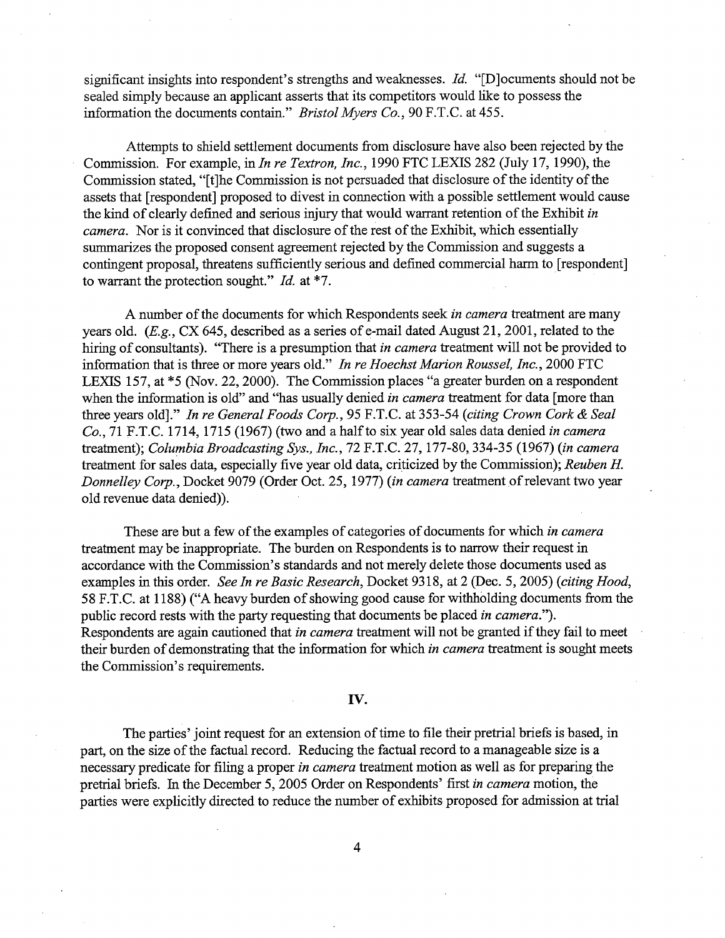significant insights into respondent's strengths and weaknesses. Id. "[D] ocuments should not be sealed simply because an applicant asserts that its competitors would like to possess the information the documents contain." Bristol Myers Co., 90 F.T.C. at 455.

Attempts to shield settlement documents from disclosure have also been rejected by the Commission. For example, in In re Textron, Inc., 1990 FTC LEXIS 282 (July 17, 1990), the Commission stated, "(t)he Commission is not persuaded that disclosure of the identity of the assets that (respondent) proposed to divest in connection with a possible settlement would cause the kind of clearly defined and serious injury that would warrant retention of the Exhibit in camera. Nor is it convinced that disclosure of the rest of the Exhibit, which essentially summarizes the proposed consent agreement rejected by the Commission and suggests a contingent proposal, threatens sufficiently serious and defined commercial harm to [respondent] to warrant the protection sought." Id. at \*7.

A number of the documents for which Respondents seek in camera treatment are many years old.  $(E.g., CX 645, described as a series of e-mail dated August 21, 2001, related to the$ hiring of consultants). "There is a presumption that *in camera* treatment will not be provided to information that is three or more years old." In re Hoechst Marion Roussel, Inc., 2000 FTC LEXIS 157, at \*5 (Nov. 22, 2000). The Commission places "a greater burden on a respondent when the information is old" and "has usually denied in camera treatment for data [more than three years old]." In re General Foods Corp., 95 F.T.C. at 353-54 (citing Crown Cork & Seal Co., 71 F.T.C. 1714, 1715 (1967) (two and a half to six year old sales data denied in camera treatment); Columbia Broadcasting Sys., Inc., 72 F.T.C. 27, 177-80, 334-35 (1967) (in camera treatment for sales data, especially five year old data, criticized by the Commission); Reuben H. Donnelley Corp., Docket 9079 (Order Oct. 25, 1977) (in camera treatment of relevant two year old revenue data denied)).

These are but a few of the examples of categories of documents for which in camera treatment may be inappropriate. The burden on Respondents is to narow their request in accordance with the Commssion's standards and not merely delete those documents used as examples in this order. See In re Basic Research, Docket 9318, at 2 (Dec. 5, 2005) (citing Hood, 58 F.T.C. at 1188) ("A heavy burden of showing good cause for withholding documents from the public record rests with the party requesting that documents be placed in camera."). Respondents are again cautioned that in camera treatment will not be granted if they fail to meet their burden of demonstrating that the information for which in *camera* treatment is sought meets the Commission's requirements.

## iv.

The paries' joint request for an extension of time to file their pretral briefs is based, in part, on the size of the factual record. Reducing the factual record to a manageable size is a necessary predicate for filing a proper *in camera* treatment motion as well as for preparing the pretrial briefs. In the December 5, 2005 Order on Respondents' first in camera motion, the parties were explicitly directed to reduce the number of exhibits proposed for admission at tral

4